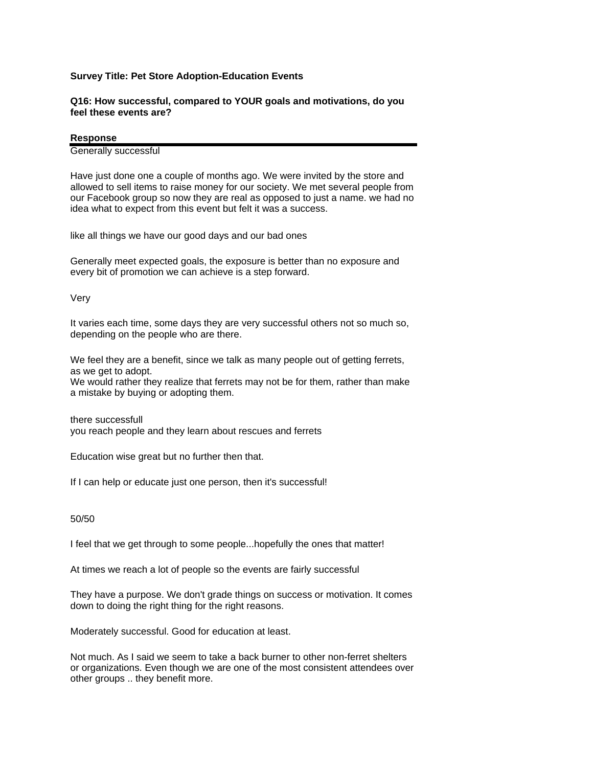## **Survey Title: Pet Store Adoption-Education Events**

## **Q16: How successful, compared to YOUR goals and motivations, do you feel these events are?**

## **Response**

Generally successful

Have just done one a couple of months ago. We were invited by the store and allowed to sell items to raise money for our society. We met several people from our Facebook group so now they are real as opposed to just a name. we had no idea what to expect from this event but felt it was a success.

like all things we have our good days and our bad ones

Generally meet expected goals, the exposure is better than no exposure and every bit of promotion we can achieve is a step forward.

Very

It varies each time, some days they are very successful others not so much so, depending on the people who are there.

We feel they are a benefit, since we talk as many people out of getting ferrets, as we get to adopt. We would rather they realize that ferrets may not be for them, rather than make a mistake by buying or adopting them.

there successfull you reach people and they learn about rescues and ferrets

Education wise great but no further then that.

If I can help or educate just one person, then it's successful!

50/50

I feel that we get through to some people...hopefully the ones that matter!

At times we reach a lot of people so the events are fairly successful

They have a purpose. We don't grade things on success or motivation. It comes down to doing the right thing for the right reasons.

Moderately successful. Good for education at least.

Not much. As I said we seem to take a back burner to other non-ferret shelters or organizations. Even though we are one of the most consistent attendees over other groups .. they benefit more.